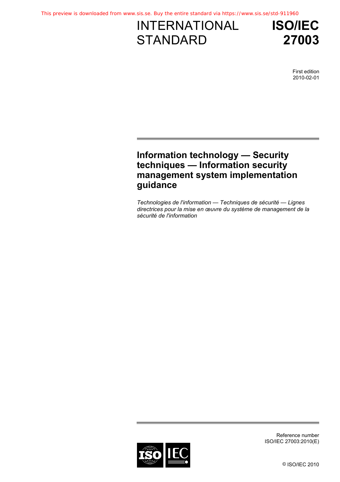

**ISO/IEC 27003**

> First edition 2010-02-01

# **[Information technology — Security](#page-6-0)  techniques — Information security [management system implementatio](#page-6-0)n [guidance](#page-6-0)**

*[Technologies de l'information — Techniques de sécurité — Lignes](#page-6-0)  directrices pour la mise en œuvre du système de management de la [sécurité de l'information](#page-6-0)* 



Reference number ISO/IEC 27003:2010(E)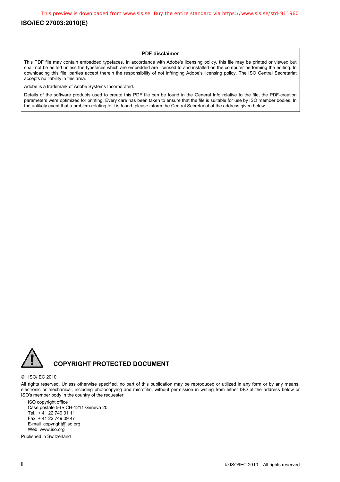#### **PDF disclaimer**

This PDF file may contain embedded typefaces. In accordance with Adobe's licensing policy, this file may be printed or viewed but shall not be edited unless the typefaces which are embedded are licensed to and installed on the computer performing the editing. In downloading this file, parties accept therein the responsibility of not infringing Adobe's licensing policy. The ISO Central Secretariat accepts no liability in this area.

Adobe is a trademark of Adobe Systems Incorporated.

Details of the software products used to create this PDF file can be found in the General Info relative to the file; the PDF-creation parameters were optimized for printing. Every care has been taken to ensure that the file is suitable for use by ISO member bodies. In the unlikely event that a problem relating to it is found, please inform the Central Secretariat at the address given below.



#### © ISO/IEC 2010

All rights reserved. Unless otherwise specified, no part of this publication may be reproduced or utilized in any form or by any means, electronic or mechanical, including photocopying and microfilm, without permission in writing from either ISO at the address below or ISO's member body in the country of the requester.

ISO copyright office Case postale 56 • CH-1211 Geneva 20 Tel. + 41 22 749 01 11 Fax + 41 22 749 09 47 E-mail copyright@iso.org Web www.iso.org

Published in Switzerland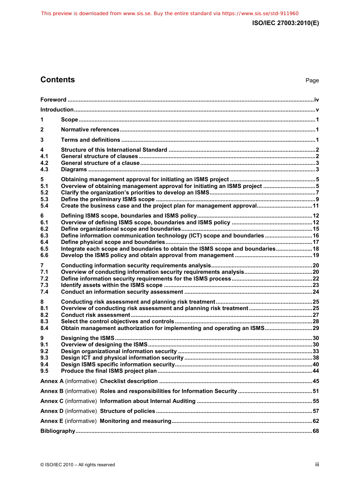# **Contents** Page

| 1                                           |                                                                                                                                                             |  |
|---------------------------------------------|-------------------------------------------------------------------------------------------------------------------------------------------------------------|--|
| $\mathbf 2$                                 |                                                                                                                                                             |  |
| $\mathbf{3}$                                |                                                                                                                                                             |  |
| 4<br>4.1<br>4.2<br>4.3                      |                                                                                                                                                             |  |
| 5<br>5.1<br>5.2<br>5.3<br>5.4               | Overview of obtaining management approval for initiating an ISMS project 5<br>Create the business case and the project plan for management approval11       |  |
| 6<br>6.1<br>6.2<br>6.3<br>6.4<br>6.5<br>6.6 | Define information communication technology (ICT) scope and boundaries 16<br>Integrate each scope and boundaries to obtain the ISMS scope and boundaries 18 |  |
| $\overline{7}$<br>7.1<br>7.2<br>7.3<br>7.4  |                                                                                                                                                             |  |
| 8<br>8.1<br>8.2<br>8.3<br>8.4               | Obtain management authorization for implementing and operating an ISMS 29                                                                                   |  |
| 9<br>9.1<br>9.2<br>9.3<br>9.4<br>9.5        |                                                                                                                                                             |  |
|                                             |                                                                                                                                                             |  |
|                                             |                                                                                                                                                             |  |
|                                             |                                                                                                                                                             |  |
|                                             |                                                                                                                                                             |  |
|                                             |                                                                                                                                                             |  |
|                                             |                                                                                                                                                             |  |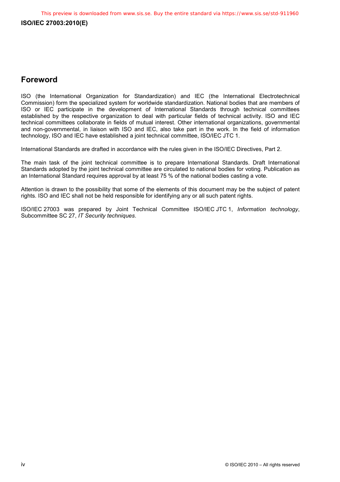# <span id="page-3-0"></span>**Foreword**

ISO (the International Organization for Standardization) and IEC (the International Electrotechnical Commission) form the specialized system for worldwide standardization. National bodies that are members of ISO or IEC participate in the development of International Standards through technical committees established by the respective organization to deal with particular fields of technical activity. ISO and IEC technical committees collaborate in fields of mutual interest. Other international organizations, governmental and non-governmental, in liaison with ISO and IEC, also take part in the work. In the field of information technology, ISO and IEC have established a joint technical committee, ISO/IEC JTC 1.

International Standards are drafted in accordance with the rules given in the ISO/IEC Directives, Part 2.

The main task of the joint technical committee is to prepare International Standards. Draft International Standards adopted by the joint technical committee are circulated to national bodies for voting. Publication as an International Standard requires approval by at least 75 % of the national bodies casting a vote.

Attention is drawn to the possibility that some of the elements of this document may be the subject of patent rights. ISO and IEC shall not be held responsible for identifying any or all such patent rights.

ISO/IEC 27003 was prepared by Joint Technical Committee ISO/IEC JTC 1, *Information technology*, Subcommittee SC 27, *IT Security techniques*.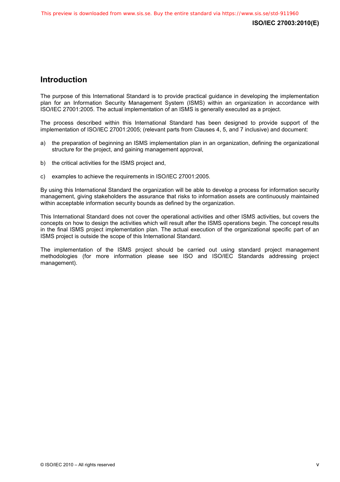# <span id="page-4-0"></span>**Introduction**

The purpose of this International Standard is to provide practical guidance in developing the implementation plan for an Information Security Management System (ISMS) within an organization in accordance with ISO/IEC 27001:2005. The actual implementation of an ISMS is generally executed as a project.

The process described within this International Standard has been designed to provide support of the implementation of ISO/IEC 27001:2005; (relevant parts from Clauses 4, 5, and 7 inclusive) and document:

- a) the preparation of beginning an ISMS implementation plan in an organization, defining the organizational structure for the project, and gaining management approval,
- b) the critical activities for the ISMS project and,
- c) examples to achieve the requirements in ISO/IEC 27001:2005.

By using this International Standard the organization will be able to develop a process for information security management, giving stakeholders the assurance that risks to information assets are continuously maintained within acceptable information security bounds as defined by the organization.

This International Standard does not cover the operational activities and other ISMS activities, but covers the concepts on how to design the activities which will result after the ISMS operations begin. The concept results in the final ISMS project implementation plan. The actual execution of the organizational specific part of an ISMS project is outside the scope of this International Standard.

The implementation of the ISMS project should be carried out using standard project management methodologies (for more information please see ISO and ISO/IEC Standards addressing project management).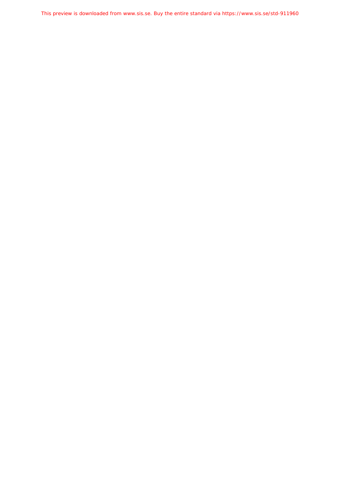This preview is downloaded from www.sis.se. Buy the entire standard via https://www.sis.se/std-911960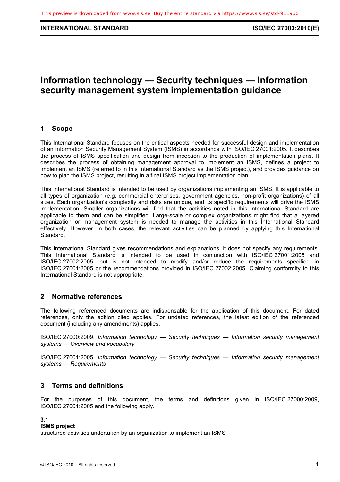# <span id="page-6-0"></span>**[Information technology — Security techniques — Information](#page-6-0)  security management system implementation guidance**

## <span id="page-6-1"></span>**1 Scope**

This International Standard focuses on the critical aspects needed for successful design and implementation of an Information Security Management System (ISMS) in accordance with ISO/IEC 27001:2005. It describes the process of ISMS specification and design from inception to the production of implementation plans. It describes the process of obtaining management approval to implement an ISMS, defines a project to implement an ISMS (referred to in this International Standard as the ISMS project), and provides guidance on how to plan the ISMS project, resulting in a final ISMS project implementation plan.

This International Standard is intended to be used by organizations implementing an ISMS. It is applicable to all types of organization (e.g. commercial enterprises, government agencies, non-profit organizations) of all sizes. Each organization's complexity and risks are unique, and its specific requirements will drive the ISMS implementation. Smaller organizations will find that the activities noted in this International Standard are applicable to them and can be simplified. Large-scale or complex organizations might find that a layered organization or management system is needed to manage the activities in this International Standard effectively. However, in both cases, the relevant activities can be planned by applying this International Standard.

This International Standard gives recommendations and explanations; it does not specify any requirements. This International Standard is intended to be used in conjunction with ISO/IEC 27001:2005 and ISO/IEC 27002:2005, but is not intended to modify and/or reduce the requirements specified in ISO/IEC 27001:2005 or the recommendations provided in ISO/IEC 27002:2005. Claiming conformity to this International Standard is not appropriate.

# <span id="page-6-2"></span>**2 Normative references**

The following referenced documents are indispensable for the application of this document. For dated references, only the edition cited applies. For undated references, the latest edition of the referenced document (including any amendments) applies.

ISO/IEC 27000:2009, *Information technology — Security techniques — Information security management systems — Overview and vocabulary*

ISO/IEC 27001:2005, *Information technology — Security techniques — Information security management systems — Requirements*

## <span id="page-6-3"></span>**3 Terms and definitions**

For the purposes of this document, the terms and definitions given in ISO/IEC 27000:2009, ISO/IEC 27001:2005 and the following apply.

#### **3.1**

#### **ISMS project**

structured activities undertaken by an organization to implement an ISMS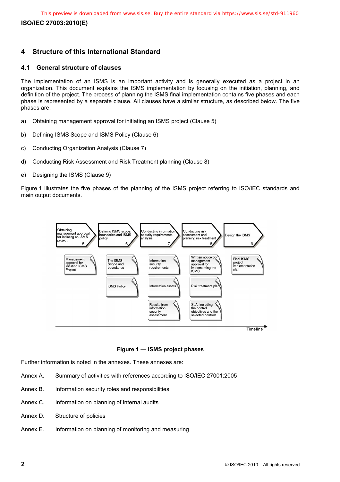# <span id="page-7-0"></span>**4 Structure of this International Standard**

## <span id="page-7-1"></span>**4.1 General structure of clauses**

The implementation of an ISMS is an important activity and is generally executed as a project in an organization. This document explains the ISMS implementation by focusing on the initiation, planning, and definition of the project. The process of planning the ISMS final implementation contains five phases and each phase is represented by a separate clause. All clauses have a similar structure, as described below. The five phases are:

- a) Obtaining management approval for initiating an ISMS project (Clause 5)
- b) Defining ISMS Scope and ISMS Policy (Clause 6)
- c) Conducting Organization Analysis (Clause 7)
- d) Conducting Risk Assessment and Risk Treatment planning (Clause 8)
- e) Designing the ISMS (Clause 9)

Figure 1 illustrates the five phases of the planning of the ISMS project referring to ISO/IEC standards and main output documents.



### **Figure 1 — ISMS project phases**

Further information is noted in the annexes. These annexes are:

- Annex A. Summary of activities with references according to ISO/IEC 27001:2005
- Annex B. Information security roles and responsibilities
- Annex C. Information on planning of internal audits
- Annex D. Structure of policies
- Annex E. Information on planning of monitoring and measuring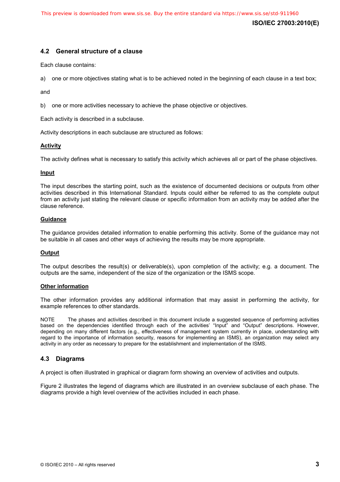## <span id="page-8-0"></span>**4.2 General structure of a clause**

Each clause contains:

a) one or more objectives stating what is to be achieved noted in the beginning of each clause in a text box;

and

b) one or more activities necessary to achieve the phase objective or objectives.

Each activity is described in a subclause.

Activity descriptions in each subclause are structured as follows:

#### **Activity**

The activity defines what is necessary to satisfy this activity which achieves all or part of the phase objectives.

#### **Input**

The input describes the starting point, such as the existence of documented decisions or outputs from other activities described in this International Standard. Inputs could either be referred to as the complete output from an activity just stating the relevant clause or specific information from an activity may be added after the clause reference.

#### **Guidance**

The guidance provides detailed information to enable performing this activity. Some of the guidance may not be suitable in all cases and other ways of achieving the results may be more appropriate.

#### **Output**

The output describes the result(s) or deliverable(s), upon completion of the activity; e.g. a document. The outputs are the same, independent of the size of the organization or the ISMS scope.

#### **Other information**

The other information provides any additional information that may assist in performing the activity, for example references to other standards.

NOTE The phases and activities described in this document include a suggested sequence of performing activities based on the dependencies identified through each of the activities' "Input" and "Output" descriptions. However, depending on many different factors (e.g., effectiveness of management system currently in place, understanding with regard to the importance of information security, reasons for implementing an ISMS), an organization may select any activity in any order as necessary to prepare for the establishment and implementation of the ISMS.

### <span id="page-8-1"></span>**4.3 Diagrams**

A project is often illustrated in graphical or diagram form showing an overview of activities and outputs.

Figure 2 illustrates the legend of diagrams which are illustrated in an overview subclause of each phase. The diagrams provide a high level overview of the activities included in each phase.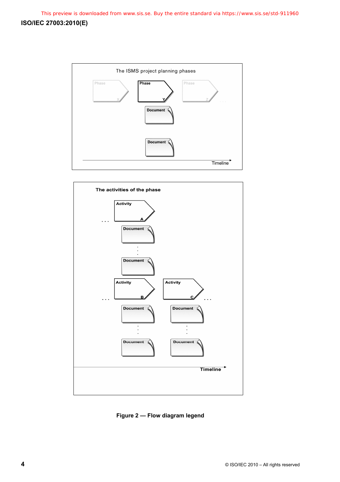



**Figure 2 — Flow diagram legend**